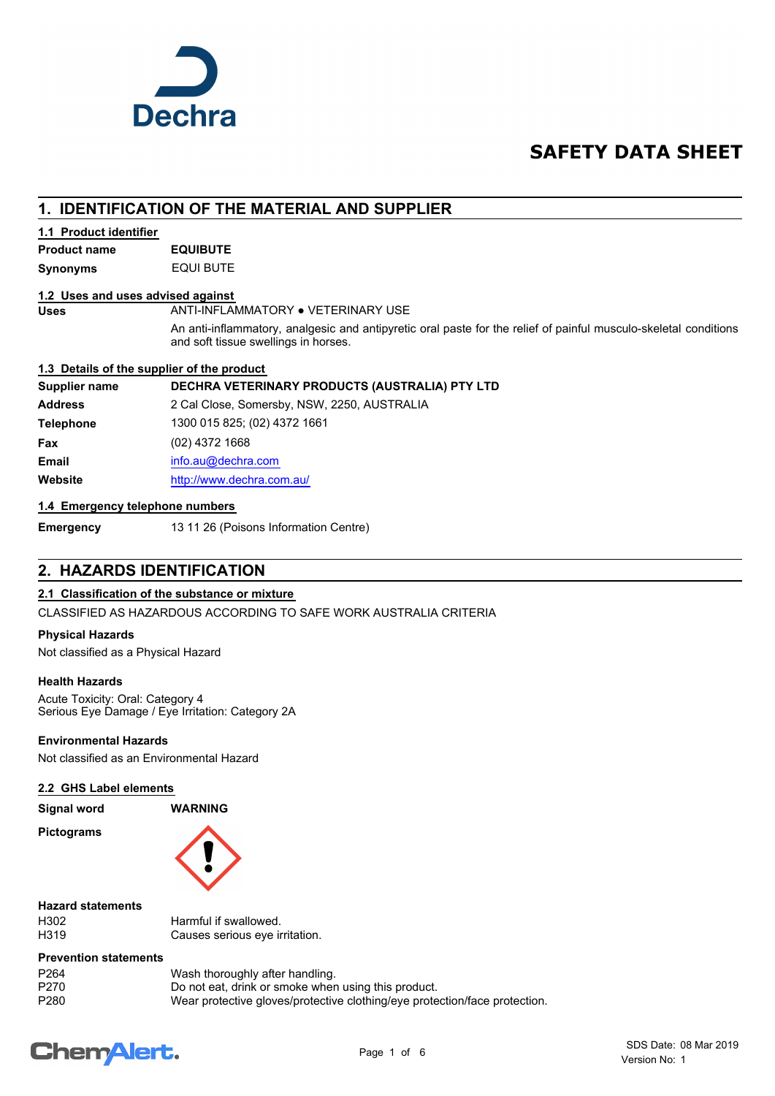

## **SAFETY DATA SHEET**

## **1. IDENTIFICATION OF THE MATERIAL AND SUPPLIER**

#### **1.1 Product identifier**

**Synonyms** EQUI BUTE **Product name EQUIBUTE**

#### **1.2 Uses and uses advised against**

Uses **ANTI-INFLAMMATORY . VETERINARY USE** 

An anti-inflammatory, analgesic and antipyretic oral paste for the relief of painful musculo-skeletal conditions and soft tissue swellings in horses.

#### **1.3 Details of the supplier of the product**

#### **Supplier name DECHRA VETERINARY PRODUCTS (AUSTRALIA) PTY LTD**

**Address** 2 Cal Close, Somersby, NSW, 2250, AUSTRALIA **Telephone** 1300 015 825; (02) 4372 1661 **Fax** (02) 4372 1668 **Email** [info.au@](mailto:info.au@dechra.com)dechra.com **Website** [http://www.](http://www.dechra.com.au/)dechra.com.au/

#### **1.4 Emergency telephone numbers**

**Emergency** 13 11 26 (Poisons Information Centre)

## **2. HAZARDS IDENTIFICATION**

#### **2.1 Classification of the substance or mixture**

CLASSIFIED AS HAZARDOUS ACCORDING TO SAFE WORK AUSTRALIA CRITERIA

#### **Physical Hazards**

Not classified as a Physical Hazard

#### **Health Hazards**

Acute Toxicity: Oral: Category 4 Serious Eye Damage / Eye Irritation: Category 2A

#### **Environmental Hazards**

Not classified as an Environmental Hazard

#### **2.2 GHS Label elements**

**Signal word WARNING**

**Pictograms**



#### **Hazard statements**

H302 Harmful if swallowed.<br>H319 Causes serious eve in Causes serious eye irritation.

#### **Prevention statements**

| P264 | Wash thoroughly after handling.                                            |
|------|----------------------------------------------------------------------------|
| P270 | Do not eat, drink or smoke when using this product.                        |
| P280 | Wear protective gloves/protective clothing/eye protection/face protection. |

# **ChemAlert.**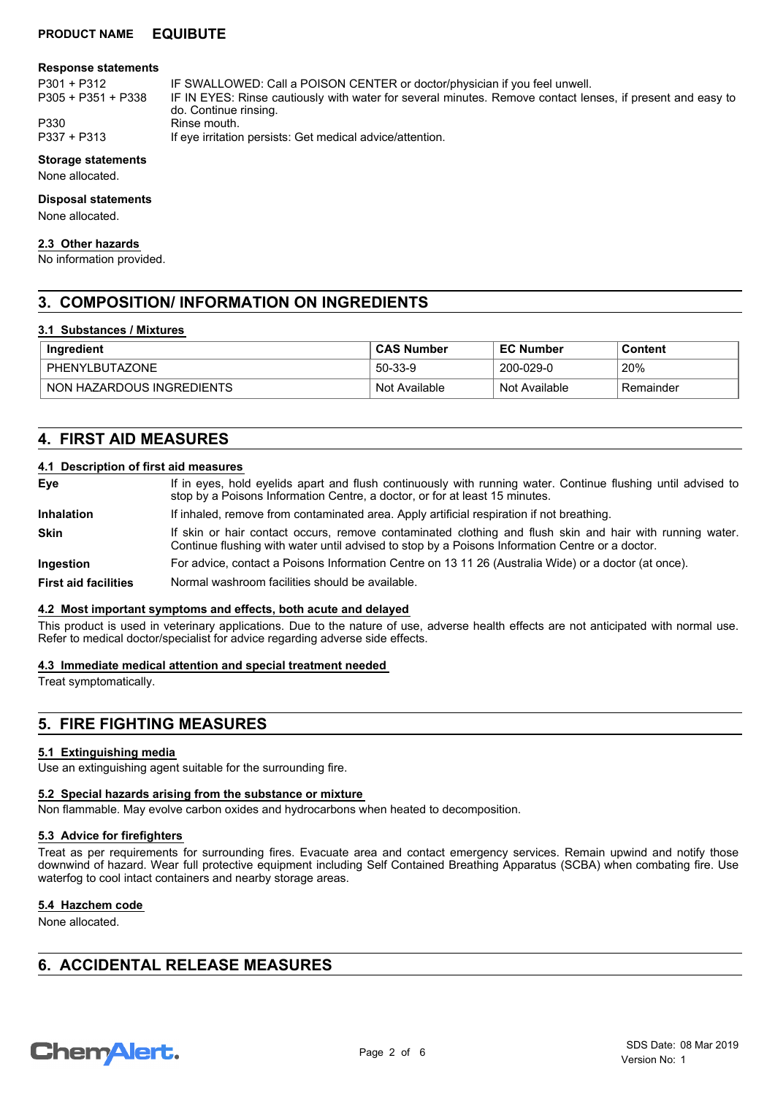#### **Response statements**

P305 + P351 + P338

P301 + P312 IF SWALLOWED: Call a POISON CENTER or doctor/physician if you feel unwell.

IF IN EYES: Rinse cautiously with water for several minutes. Remove contact lenses, if present and easy to do. Continue rinsing.

P330 Rinse mouth.<br>P337 + P313 If eve irritation

If eye irritation persists: Get medical advice/attention.

#### **Storage statements**

None allocated.

#### **Disposal statements**

None allocated.

#### **2.3 Other hazards**

No information provided.

## **3. COMPOSITION/ INFORMATION ON INGREDIENTS**

#### **3.1 Substances / Mixtures**

| Ingredient                | <b>CAS Number</b> | <b>EC Number</b> | Content   |
|---------------------------|-------------------|------------------|-----------|
| PHENYLBUTAZONE            | 50-33-9           | 200-029-0        | 20%       |
| NON HAZARDOUS INGREDIENTS | Not Available     | Not Available    | Remainder |

## **4. FIRST AID MEASURES**

#### **4.1 Description of first aid measures**

| Eye                         | If in eyes, hold eyelids apart and flush continuously with running water. Continue flushing until advised to<br>stop by a Poisons Information Centre, a doctor, or for at least 15 minutes.                 |
|-----------------------------|-------------------------------------------------------------------------------------------------------------------------------------------------------------------------------------------------------------|
| <b>Inhalation</b>           | If inhaled, remove from contaminated area. Apply artificial respiration if not breathing.                                                                                                                   |
| <b>Skin</b>                 | If skin or hair contact occurs, remove contaminated clothing and flush skin and hair with running water.<br>Continue flushing with water until advised to stop by a Poisons Information Centre or a doctor. |
| <b>Ingestion</b>            | For advice, contact a Poisons Information Centre on 13 11 26 (Australia Wide) or a doctor (at once).                                                                                                        |
| <b>First aid facilities</b> | Normal washroom facilities should be available.                                                                                                                                                             |

#### **4.2 Most important symptoms and effects, both acute and delayed**

This product is used in veterinary applications. Due to the nature of use, adverse health effects are not anticipated with normal use. Refer to medical doctor/specialist for advice regarding adverse side effects.

#### **4.3 Immediate medical attention and special treatment needed**

Treat symptomatically.

## **5. FIRE FIGHTING MEASURES**

#### **5.1 Extinguishing media**

Use an extinguishing agent suitable for the surrounding fire.

#### **5.2 Special hazards arising from the substance or mixture**

Non flammable. May evolve carbon oxides and hydrocarbons when heated to decomposition.

#### **5.3 Advice for firefighters**

Treat as per requirements for surrounding fires. Evacuate area and contact emergency services. Remain upwind and notify those downwind of hazard. Wear full protective equipment including Self Contained Breathing Apparatus (SCBA) when combating fire. Use waterfog to cool intact containers and nearby storage areas.

#### **5.4 Hazchem code**

None allocated.

## **6. ACCIDENTAL RELEASE MEASURES**

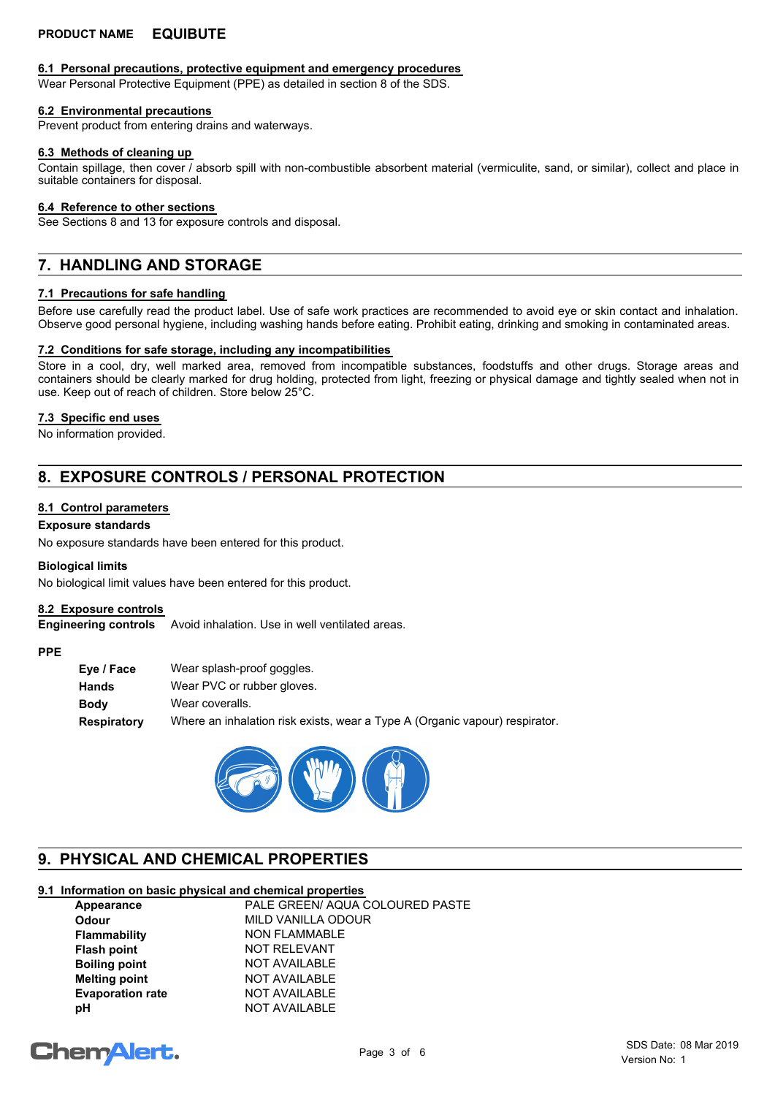#### **6.1 Personal precautions, protective equipment and emergency procedures**

Wear Personal Protective Equipment (PPE) as detailed in section 8 of the SDS.

#### **6.2 Environmental precautions**

Prevent product from entering drains and waterways.

#### **6.3 Methods of cleaning up**

Contain spillage, then cover / absorb spill with non-combustible absorbent material (vermiculite, sand, or similar), collect and place in suitable containers for disposal.

#### **6.4 Reference to other sections**

See Sections 8 and 13 for exposure controls and disposal.

## **7. HANDLING AND STORAGE**

#### **7.1 Precautions for safe handling**

Before use carefully read the product label. Use of safe work practices are recommended to avoid eye or skin contact and inhalation. Observe good personal hygiene, including washing hands before eating. Prohibit eating, drinking and smoking in contaminated areas.

#### **7.2 Conditions for safe storage, including any incompatibilities**

Store in a cool, dry, well marked area, removed from incompatible substances, foodstuffs and other drugs. Storage areas and containers should be clearly marked for drug holding, protected from light, freezing or physical damage and tightly sealed when not in use. Keep out of reach of children. Store below 25°C.

#### **7.3 Specific end uses**

No information provided.

## **8. EXPOSURE CONTROLS / PERSONAL PROTECTION**

#### **8.1 Control parameters**

#### **Exposure standards**

No exposure standards have been entered for this product.

#### **Biological limits**

No biological limit values have been entered for this product.

#### **8.2 Exposure controls**

Avoid inhalation. Use in well ventilated areas. **Engineering controls**

#### **PPE**

| Eye / Face  | Wear splash-proof goggles.                                                  |
|-------------|-----------------------------------------------------------------------------|
| Hands       | Wear PVC or rubber gloves.                                                  |
| <b>Body</b> | Wear coveralls.                                                             |
| Respiratory | Where an inhalation risk exists, wear a Type A (Organic vapour) respirator. |



## **9. PHYSICAL AND CHEMICAL PROPERTIES**

## **9.1 Information on basic physical and chemical properties**

| Appearance              | PALE GREEN/ AQUA COLOURED PASTE |
|-------------------------|---------------------------------|
| <b>Odour</b>            | MILD VANILLA ODOUR              |
| <b>Flammability</b>     | <b>NON FLAMMABLE</b>            |
| <b>Flash point</b>      | <b>NOT RELEVANT</b>             |
| <b>Boiling point</b>    | <b>NOT AVAILABLE</b>            |
| <b>Melting point</b>    | <b>NOT AVAILABLE</b>            |
| <b>Evaporation rate</b> | <b>NOT AVAILABLE</b>            |
| рH                      | <b>NOT AVAILABLE</b>            |

# **ChemAlert.**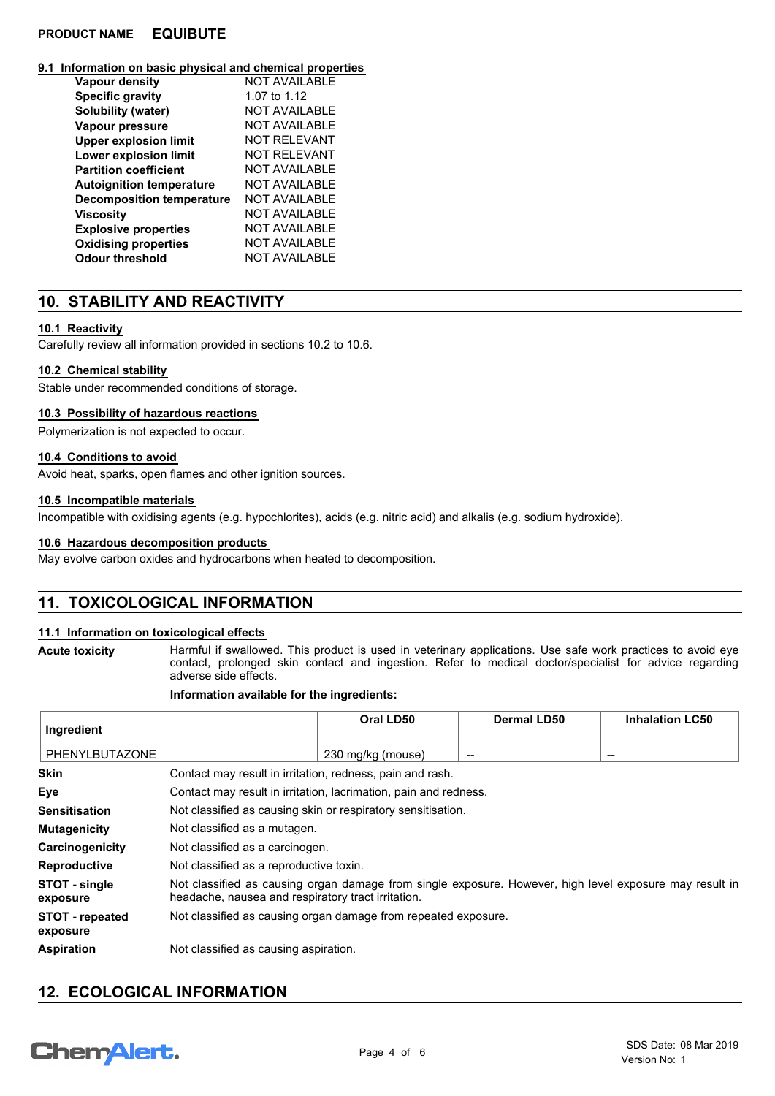#### **9.1 Information on basic physical and chemical properties**

| <b>Vapour density</b>            | <b>NOT AVAILABLE</b> |
|----------------------------------|----------------------|
| <b>Specific gravity</b>          | 1.07 to 1.12         |
| Solubility (water)               | NOT AVAILABLE        |
| Vapour pressure                  | NOT AVAILABLE        |
| <b>Upper explosion limit</b>     | NOT REI EVANT        |
| Lower explosion limit            | NOT REI EVANT        |
| <b>Partition coefficient</b>     | NOT AVAILABLE        |
| <b>Autoignition temperature</b>  | NOT AVAILABLE        |
| <b>Decomposition temperature</b> | NOT AVAILABLE        |
| <b>Viscosity</b>                 | NOT AVAILABLE        |
| <b>Explosive properties</b>      | <b>NOT AVAILABLE</b> |
| <b>Oxidising properties</b>      | <b>NOT AVAILABLE</b> |
| Odour threshold                  | NOT AVAILABLE        |

## **10. STABILITY AND REACTIVITY**

#### **10.1 Reactivity**

Carefully review all information provided in sections 10.2 to 10.6.

#### **10.2 Chemical stability**

Stable under recommended conditions of storage.

#### **10.3 Possibility of hazardous reactions**

Polymerization is not expected to occur.

#### **10.4 Conditions to avoid**

Avoid heat, sparks, open flames and other ignition sources.

#### **10.5 Incompatible materials**

Incompatible with oxidising agents (e.g. hypochlorites), acids (e.g. nitric acid) and alkalis (e.g. sodium hydroxide).

#### **10.6 Hazardous decomposition products**

May evolve carbon oxides and hydrocarbons when heated to decomposition.

## **11. TOXICOLOGICAL INFORMATION**

#### **11.1 Information on toxicological effects**

**Acute toxicity**

#### Harmful if swallowed. This product is used in veterinary applications. Use safe work practices to avoid eye contact, prolonged skin contact and ingestion. Refer to medical doctor/specialist for advice regarding adverse side effects.

#### **Information available for the ingredients:**

| Ingredient                         |                                                                                                                                                               | Oral LD50         | Dermal LD50 | <b>Inhalation LC50</b> |
|------------------------------------|---------------------------------------------------------------------------------------------------------------------------------------------------------------|-------------------|-------------|------------------------|
| PHENYLBUTAZONE                     |                                                                                                                                                               | 230 mg/kg (mouse) | --          | $\qquad \qquad$        |
| <b>Skin</b>                        | Contact may result in irritation, redness, pain and rash.                                                                                                     |                   |             |                        |
| Eye                                | Contact may result in irritation, lacrimation, pain and redness.                                                                                              |                   |             |                        |
| <b>Sensitisation</b>               | Not classified as causing skin or respiratory sensitisation.                                                                                                  |                   |             |                        |
| <b>Mutagenicity</b>                | Not classified as a mutagen.                                                                                                                                  |                   |             |                        |
| Carcinogenicity                    | Not classified as a carcinogen.                                                                                                                               |                   |             |                        |
| <b>Reproductive</b>                | Not classified as a reproductive toxin.                                                                                                                       |                   |             |                        |
| STOT - single<br>exposure          | Not classified as causing organ damage from single exposure. However, high level exposure may result in<br>headache, nausea and respiratory tract irritation. |                   |             |                        |
| <b>STOT - repeated</b><br>exposure | Not classified as causing organ damage from repeated exposure.                                                                                                |                   |             |                        |
| <b>Aspiration</b>                  | Not classified as causing aspiration.                                                                                                                         |                   |             |                        |

## **12. ECOLOGICAL INFORMATION**

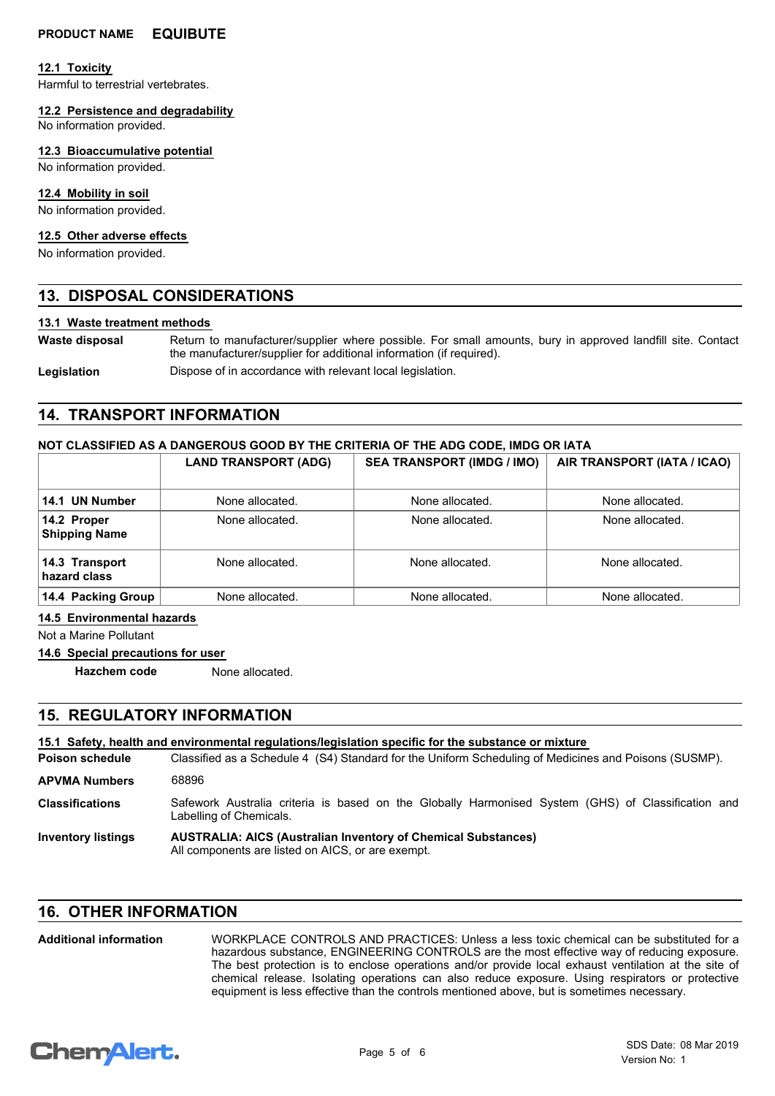#### **12.1 Toxicity**

Harmful to terrestrial vertebrates.

#### **12.2 Persistence and degradability**

No information provided.

#### **12.3 Bioaccumulative potential**

No information provided.

#### **12.4 Mobility in soil**

No information provided.

#### **12.5 Other adverse effects**

No information provided.

## **13. DISPOSAL CONSIDERATIONS**

#### **13.1 Waste treatment methods**

**Waste disposal**

Return to manufacturer/supplier where possible. For small amounts, bury in approved landfill site. Contact the manufacturer/supplier for additional information (if required).

Legislation **Dispose of in accordance with relevant local legislation.** 

## **14. TRANSPORT INFORMATION**

#### **NOT CLASSIFIED AS A DANGEROUS GOOD BY THE CRITERIA OF THE ADG CODE, IMDG OR IATA**

|                                     | <b>LAND TRANSPORT (ADG)</b> | <b>SEA TRANSPORT (IMDG / IMO)</b> | AIR TRANSPORT (IATA / ICAO) |
|-------------------------------------|-----------------------------|-----------------------------------|-----------------------------|
| 14.1 UN Number                      | None allocated.             | None allocated.                   | None allocated.             |
| 14.2 Proper<br><b>Shipping Name</b> | None allocated.             | None allocated.                   | None allocated.             |
| 14.3 Transport<br>hazard class      | None allocated.             | None allocated.                   | None allocated.             |
| 14.4 Packing Group                  | None allocated.             | None allocated.                   | None allocated.             |

**14.5 Environmental hazards**

Not a Marine Pollutant

#### **14.6 Special precautions for user**

**Hazchem code** None allocated.

## **15. REGULATORY INFORMATION**

Classified as a Schedule 4 (S4) Standard for the Uniform Scheduling of Medicines and Poisons (SUSMP). **15.1 Safety, health and environmental regulations/legislation specific for the substance or mixture Poison schedule AUSTRALIA: AICS (Australian Inventory of Chemical Substances)** All components are listed on AICS, or are exempt. **Inventory listings** Safework Australia criteria is based on the Globally Harmonised System (GHS) of Classification and Labelling of Chemicals. **Classifications APVMA Numbers** 68896

## **16. OTHER INFORMATION**

#### WORKPLACE CONTROLS AND PRACTICES: Unless a less toxic chemical can be substituted for a hazardous substance, ENGINEERING CONTROLS are the most effective way of reducing exposure. The best protection is to enclose operations and/or provide local exhaust ventilation at the site of chemical release. Isolating operations can also reduce exposure. Using respirators or protective equipment is less effective than the controls mentioned above, but is sometimes necessary. **Additional information**